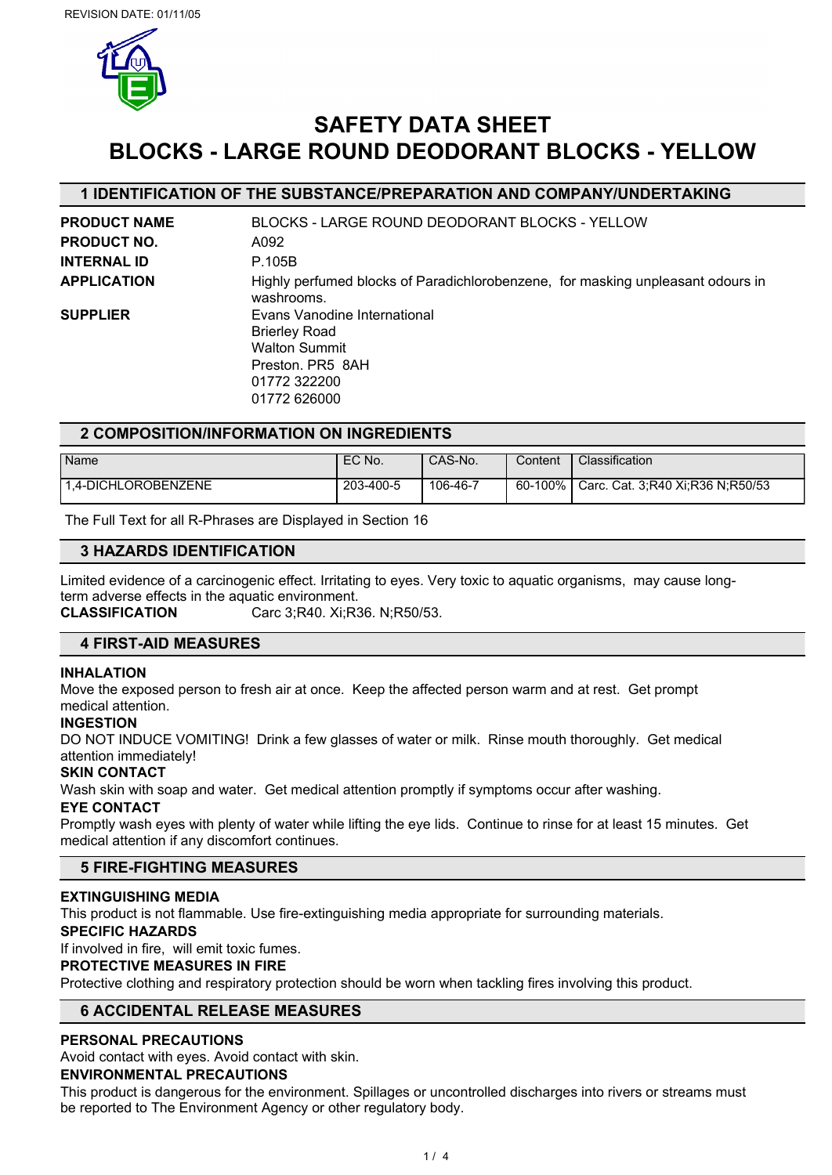

# **SAFETY DATA SHEET BLOCKS - LARGE ROUND DEODORANT BLOCKS - YELLOW**

## **1 IDENTIFICATION OF THE SUBSTANCE/PREPARATION AND COMPANY/UNDERTAKING**

| <b>PRODUCT NAME</b> | BLOCKS - LARGE ROUND DEODORANT BLOCKS - YELLOW                                                                                   |
|---------------------|----------------------------------------------------------------------------------------------------------------------------------|
| <b>PRODUCT NO.</b>  | A092                                                                                                                             |
| <b>INTERNAL ID</b>  | P.105B                                                                                                                           |
| <b>APPLICATION</b>  | Highly perfumed blocks of Paradichlorobenzene, for masking unpleasant odours in<br>washrooms.                                    |
| <b>SUPPLIER</b>     | Evans Vanodine International<br><b>Brierley Road</b><br><b>Walton Summit</b><br>Preston, PR5 8AH<br>01772 322200<br>01772 626000 |
|                     |                                                                                                                                  |

### **2 COMPOSITION/INFORMATION ON INGREDIENTS**

| Name                | EC No.    | CAS-No.  | Content           | Classification                   |
|---------------------|-----------|----------|-------------------|----------------------------------|
| 1.4-DICHLOROBENZENE | 203-400-5 | 106-46-7 | $-100\%$<br>60- . | Carc. Cat. 3:R40 Xi:R36 N:R50/53 |

The Full Text for all R-Phrases are Displayed in Section 16

### **3 HAZARDS IDENTIFICATION**

Limited evidence of a carcinogenic effect. Irritating to eyes. Very toxic to aquatic organisms, may cause longterm adverse effects in the aquatic environment.

**CLASSIFICATION** Carc 3;R40. Xi;R36. N;R50/53.

### **4 FIRST-AID MEASURES**

#### **INHALATION**

Move the exposed person to fresh air at once. Keep the affected person warm and at rest. Get prompt medical attention.

#### **INGESTION**

DO NOT INDUCE VOMITING! Drink a few glasses of water or milk. Rinse mouth thoroughly. Get medical attention immediately!

#### **SKIN CONTACT**

Wash skin with soap and water. Get medical attention promptly if symptoms occur after washing.

#### **EYE CONTACT**

Promptly wash eyes with plenty of water while lifting the eye lids. Continue to rinse for at least 15 minutes. Get medical attention if any discomfort continues.

#### **5 FIRE-FIGHTING MEASURES**

#### **EXTINGUISHING MEDIA**

This product is not flammable. Use fire-extinguishing media appropriate for surrounding materials.

#### **SPECIFIC HAZARDS**

If involved in fire, will emit toxic fumes.

#### **PROTECTIVE MEASURES IN FIRE**

Protective clothing and respiratory protection should be worn when tackling fires involving this product.

## **6 ACCIDENTAL RELEASE MEASURES**

#### **PERSONAL PRECAUTIONS**

Avoid contact with eyes. Avoid contact with skin.

#### **ENVIRONMENTAL PRECAUTIONS**

This product is dangerous for the environment. Spillages or uncontrolled discharges into rivers or streams must be reported to The Environment Agency or other regulatory body.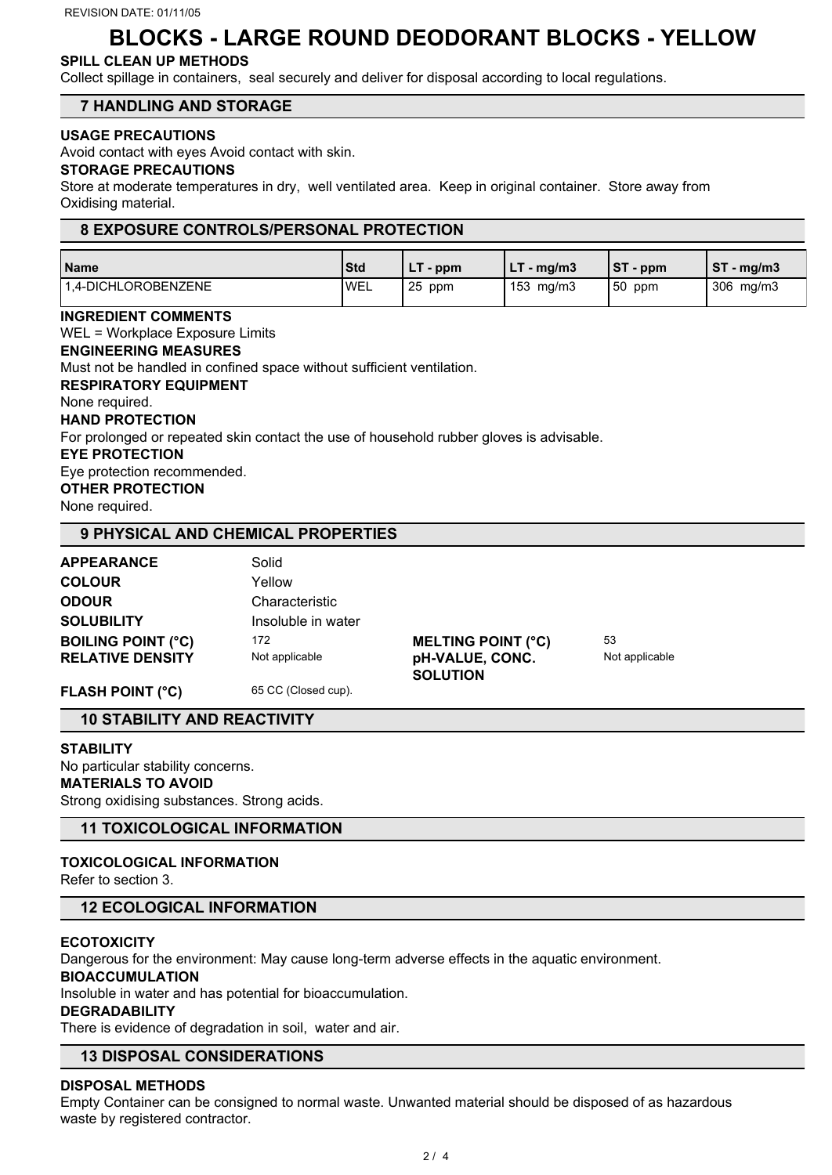# **BLOCKS - LARGE ROUND DEODORANT BLOCKS - YELLOW**

### **SPILL CLEAN UP METHODS**

Collect spillage in containers, seal securely and deliver for disposal according to local regulations.

### **7 HANDLING AND STORAGE**

#### **USAGE PRECAUTIONS**

Avoid contact with eyes Avoid contact with skin.

#### **STORAGE PRECAUTIONS**

Store at moderate temperatures in dry, well ventilated area. Keep in original container. Store away from Oxidising material.

#### **8 EXPOSURE CONTROLS/PERSONAL PROTECTION**

| Name                | <b>Std</b>   | - ppm      | $-$ mg/m3          | IST<br>$\mathsf{p}$ - ppm | <b>ST</b><br>์ - mg/m3 |
|---------------------|--------------|------------|--------------------|---------------------------|------------------------|
| 1.4-DICHLOROBENZENE | <b>I</b> WEL | -25<br>ppm | $153 \text{ mg/m}$ | 150<br>ppm                | 306<br>mg/m3           |

**INGREDIENT COMMENTS** WEL = Workplace Exposure Limits **ENGINEERING MEASURES** Must not be handled in confined space without sufficient ventilation. **RESPIRATORY EQUIPMENT** None required. **HAND PROTECTION** For prolonged or repeated skin contact the use of household rubber gloves is advisable. **EYE PROTECTION** Eye protection recommended. **OTHER PROTECTION** None required.

### **9 PHYSICAL AND CHEMICAL PROPERTIES**

| <b>APPEARANCE</b>         | Solid              |                           |                |
|---------------------------|--------------------|---------------------------|----------------|
| <b>COLOUR</b>             | Yellow             |                           |                |
| <b>ODOUR</b>              | Characteristic     |                           |                |
| <b>SOLUBILITY</b>         | Insoluble in water |                           |                |
| <b>BOILING POINT (°C)</b> | 172                | <b>MELTING POINT (°C)</b> | 53             |
| <b>RELATIVE DENSITY</b>   | Not applicable     | pH-VALUE, CONC.           | Not applicable |
|                           |                    | <b>SOLUTION</b>           |                |

FLASH POINT (°C) 65 CC (Closed cup).

#### **10 STABILITY AND REACTIVITY**

#### **STABILITY**

No particular stability concerns. **MATERIALS TO AVOID** Strong oxidising substances. Strong acids.

### **11 TOXICOLOGICAL INFORMATION**

## **TOXICOLOGICAL INFORMATION**

Refer to section 3.

#### **12 ECOLOGICAL INFORMATION**

#### **ECOTOXICITY**

Dangerous for the environment: May cause long-term adverse effects in the aquatic environment.

#### **BIOACCUMULATION**

Insoluble in water and has potential for bioaccumulation.

#### **DEGRADABILITY**

There is evidence of degradation in soil, water and air.

## **13 DISPOSAL CONSIDERATIONS**

#### **DISPOSAL METHODS**

Empty Container can be consigned to normal waste. Unwanted material should be disposed of as hazardous waste by registered contractor.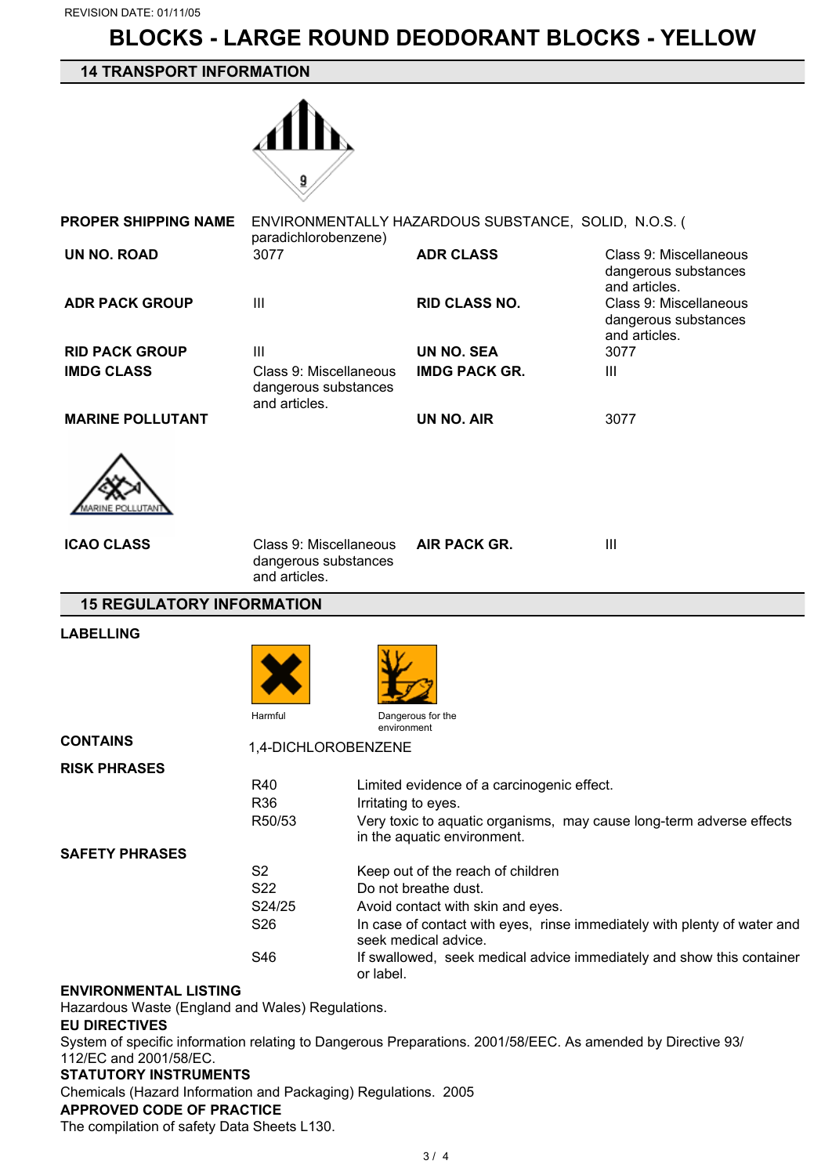# **BLOCKS - LARGE ROUND DEODORANT BLOCKS - YELLOW**

## **14 TRANSPORT INFORMATION**



| <b>PROPER SHIPPING NAME</b> | paradichlorobenzene)                                            | ENVIRONMENTALLY HAZARDOUS SUBSTANCE, SOLID, N.O.S. ( |                                                                 |
|-----------------------------|-----------------------------------------------------------------|------------------------------------------------------|-----------------------------------------------------------------|
| UN NO. ROAD                 | 3077                                                            | <b>ADR CLASS</b>                                     | Class 9: Miscellaneous<br>dangerous substances<br>and articles. |
| <b>ADR PACK GROUP</b>       | $\mathbf{III}$                                                  | <b>RID CLASS NO.</b>                                 | Class 9: Miscellaneous<br>dangerous substances<br>and articles. |
| <b>RID PACK GROUP</b>       | $\mathbf{III}$                                                  | <b>UN NO. SEA</b>                                    | 3077                                                            |
| <b>IMDG CLASS</b>           | Class 9: Miscellaneous<br>dangerous substances<br>and articles. | <b>IMDG PACK GR.</b>                                 | Ш                                                               |
| <b>MARINE POLLUTANT</b>     |                                                                 | <b>UN NO. AIR</b>                                    | 3077                                                            |
|                             |                                                                 |                                                      |                                                                 |

| <b>ICAO CLASS</b> | Class 9: Miscellaneous<br>dangerous substances<br>and articles. | <b>AIR PACK GR.</b> | Ш |
|-------------------|-----------------------------------------------------------------|---------------------|---|
|                   |                                                                 |                     |   |

#### **15 REGULATORY INFORMATION**

#### **LABELLING**

 $\infty$ ARINE POLLUTAN





**CONTAINS** 1,4-DICHLOROBENZENE

| <b>RISK PHRASES</b>   |                 |                                                                                                     |
|-----------------------|-----------------|-----------------------------------------------------------------------------------------------------|
|                       | R40             | Limited evidence of a carcinogenic effect.                                                          |
|                       | R <sub>36</sub> | Irritating to eyes.                                                                                 |
|                       | R50/53          | Very toxic to aquatic organisms, may cause long-term adverse effects<br>in the aquatic environment. |
| <b>SAFETY PHRASES</b> |                 |                                                                                                     |
|                       | S2              | Keep out of the reach of children                                                                   |
|                       | S <sub>22</sub> | Do not breathe dust.                                                                                |
|                       | S24/25          | Avoid contact with skin and eyes.                                                                   |
|                       | S <sub>26</sub> | In case of contact with eyes, rinse immediately with plenty of water and<br>seek medical advice.    |
|                       | S46             | If swallowed, seek medical advice immediately and show this container<br>or label.                  |

#### **ENVIRONMENTAL LISTING**

Hazardous Waste (England and Wales) Regulations.

#### **EU DIRECTIVES**

System of specific information relating to Dangerous Preparations. 2001/58/EEC. As amended by Directive 93/ 112/EC and 2001/58/EC.

## **STATUTORY INSTRUMENTS**

Chemicals (Hazard Information and Packaging) Regulations. 2005

## **APPROVED CODE OF PRACTICE**

The compilation of safety Data Sheets L130.